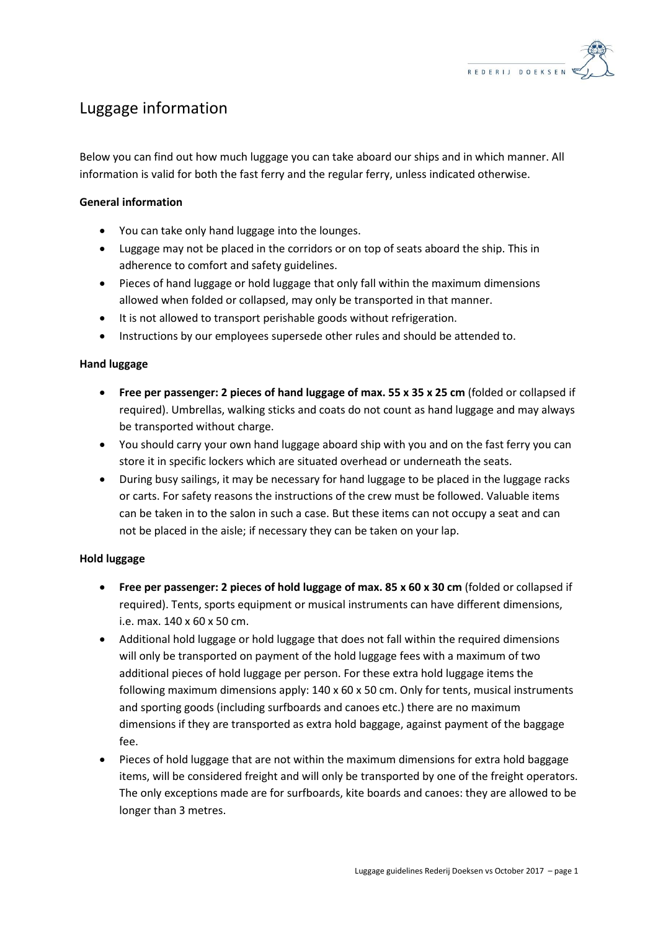

# Luggage information

Below you can find out how much luggage you can take aboard our ships and in which manner. All information is valid for both the fast ferry and the regular ferry, unless indicated otherwise.

## **General information**

- You can take only hand luggage into the lounges.
- Luggage may not be placed in the corridors or on top of seats aboard the ship. This in adherence to comfort and safety guidelines.
- Pieces of hand luggage or hold luggage that only fall within the maximum dimensions allowed when folded or collapsed, may only be transported in that manner.
- It is not allowed to transport perishable goods without refrigeration.
- Instructions by our employees supersede other rules and should be attended to.

## **Hand luggage**

- **Free per passenger: 2 pieces of hand luggage of max. 55 x 35 x 25 cm** (folded or collapsed if required). Umbrellas, walking sticks and coats do not count as hand luggage and may always be transported without charge.
- You should carry your own hand luggage aboard ship with you and on the fast ferry you can store it in specific lockers which are situated overhead or underneath the seats.
- During busy sailings, it may be necessary for hand luggage to be placed in the luggage racks or carts. For safety reasons the instructions of the crew must be followed. Valuable items can be taken in to the salon in such a case. But these items can not occupy a seat and can not be placed in the aisle; if necessary they can be taken on your lap.

## **Hold luggage**

- **Free per passenger: 2 pieces of hold luggage of max. 85 x 60 x 30 cm** (folded or collapsed if required). Tents, sports equipment or musical instruments can have different dimensions, i.e. max. 140 x 60 x 50 cm.
- Additional hold luggage or hold luggage that does not fall within the required dimensions will only be transported on payment of the hold luggage fees with a maximum of two additional pieces of hold luggage per person. For these extra hold luggage items the following maximum dimensions apply: 140 x 60 x 50 cm. Only for tents, musical instruments and sporting goods (including surfboards and canoes etc.) there are no maximum dimensions if they are transported as extra hold baggage, against payment of the baggage fee.
- Pieces of hold luggage that are not within the maximum dimensions for extra hold baggage items, will be considered freight and will only be transported by one of the freight operators. The only exceptions made are for surfboards, kite boards and canoes: they are allowed to be longer than 3 metres.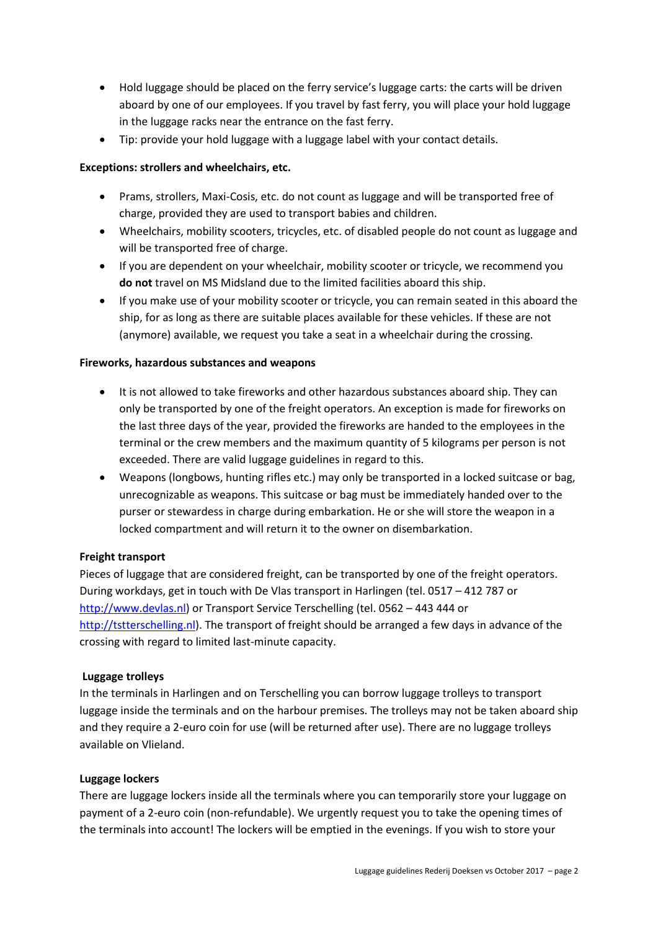- Hold luggage should be placed on the ferry service's luggage carts: the carts will be driven aboard by one of our employees. If you travel by fast ferry, you will place your hold luggage in the luggage racks near the entrance on the fast ferry.
- Tip: provide your hold luggage with a luggage label with your contact details.

## **Exceptions: strollers and wheelchairs, etc.**

- Prams, strollers, Maxi-Cosis, etc. do not count as luggage and will be transported free of charge, provided they are used to transport babies and children.
- Wheelchairs, mobility scooters, tricycles, etc. of disabled people do not count as luggage and will be transported free of charge.
- If you are dependent on your wheelchair, mobility scooter or tricycle, we recommend you **do not** travel on MS Midsland due to the limited facilities aboard this ship.
- If you make use of your mobility scooter or tricycle, you can remain seated in this aboard the ship, for as long as there are suitable places available for these vehicles. If these are not (anymore) available, we request you take a seat in a wheelchair during the crossing.

## **Fireworks, hazardous substances and weapons**

- It is not allowed to take fireworks and other hazardous substances aboard ship. They can only be transported by one of the freight operators. An exception is made for fireworks on the last three days of the year, provided the fireworks are handed to the employees in the terminal or the crew members and the maximum quantity of 5 kilograms per person is not exceeded. There are valid luggage guidelines in regard to this.
- Weapons (longbows, hunting rifles etc.) may only be transported in a locked suitcase or bag, unrecognizable as weapons. This suitcase or bag must be immediately handed over to the purser or stewardess in charge during embarkation. He or she will store the weapon in a locked compartment and will return it to the owner on disembarkation.

## **Freight transport**

Pieces of luggage that are considered freight, can be transported by one of the freight operators. During workdays, get in touch with De Vlas transport in Harlingen (tel. 0517 – 412 787 or [http://www.devlas.nl\)](http://www.devlas.nl/) or Transport Service Terschelling (tel. 0562 – 443 444 or [http://tstterschelling.nl\)](http://tstterschelling.nl/). The transport of freight should be arranged a few days in advance of the crossing with regard to limited last-minute capacity.

## **Luggage trolleys**

In the terminals in Harlingen and on Terschelling you can borrow luggage trolleys to transport luggage inside the terminals and on the harbour premises. The trolleys may not be taken aboard ship and they require a 2-euro coin for use (will be returned after use). There are no luggage trolleys available on Vlieland.

## **Luggage lockers**

There are luggage lockers inside all the terminals where you can temporarily store your luggage on payment of a 2-euro coin (non-refundable). We urgently request you to take the opening times of the terminals into account! The lockers will be emptied in the evenings. If you wish to store your